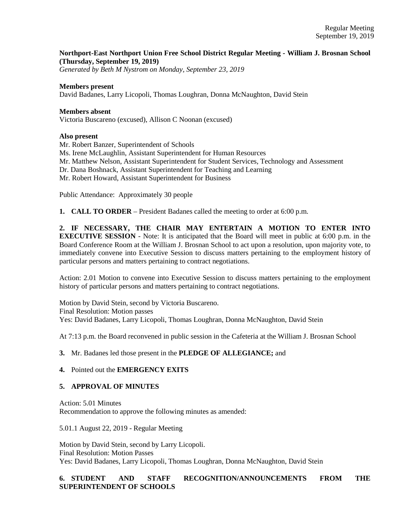# **Northport-East Northport Union Free School District Regular Meeting - William J. Brosnan School (Thursday, September 19, 2019)**

*Generated by Beth M Nystrom on Monday, September 23, 2019*

## **Members present**

David Badanes, Larry Licopoli, Thomas Loughran, Donna McNaughton, David Stein

#### **Members absent**

Victoria Buscareno (excused), Allison C Noonan (excused)

## **Also present**

Mr. Robert Banzer, Superintendent of Schools Ms. Irene McLaughlin, Assistant Superintendent for Human Resources Mr. Matthew Nelson, Assistant Superintendent for Student Services, Technology and Assessment Dr. Dana Boshnack, Assistant Superintendent for Teaching and Learning Mr. Robert Howard, Assistant Superintendent for Business

Public Attendance: Approximately 30 people

**1. CALL TO ORDER** – President Badanes called the meeting to order at 6:00 p.m.

**2. IF NECESSARY, THE CHAIR MAY ENTERTAIN A MOTION TO ENTER INTO EXECUTIVE SESSION** - Note: It is anticipated that the Board will meet in public at 6:00 p.m. in the Board Conference Room at the William J. Brosnan School to act upon a resolution, upon majority vote, to immediately convene into Executive Session to discuss matters pertaining to the employment history of particular persons and matters pertaining to contract negotiations.

Action: 2.01 Motion to convene into Executive Session to discuss matters pertaining to the employment history of particular persons and matters pertaining to contract negotiations.

Motion by David Stein, second by Victoria Buscareno. Final Resolution: Motion passes Yes: David Badanes, Larry Licopoli, Thomas Loughran, Donna McNaughton, David Stein

At 7:13 p.m. the Board reconvened in public session in the Cafeteria at the William J. Brosnan School

## **3.** Mr. Badanes led those present in the **PLEDGE OF ALLEGIANCE;** and

# **4.** Pointed out the **EMERGENCY EXITS**

#### **5. APPROVAL OF MINUTES**

Action: 5.01 Minutes Recommendation to approve the following minutes as amended:

5.01.1 August 22, 2019 - Regular Meeting

Motion by David Stein, second by Larry Licopoli. Final Resolution: Motion Passes Yes: David Badanes, Larry Licopoli, Thomas Loughran, Donna McNaughton, David Stein

# **6. STUDENT AND STAFF RECOGNITION/ANNOUNCEMENTS FROM THE SUPERINTENDENT OF SCHOOLS**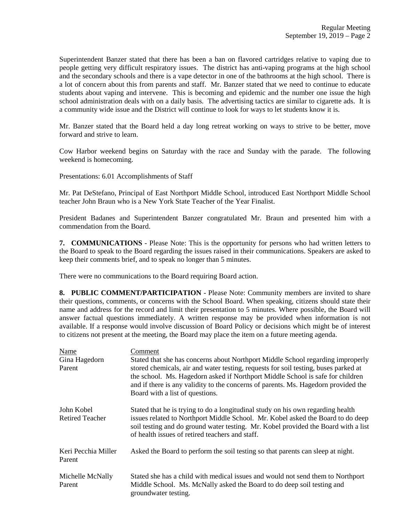Superintendent Banzer stated that there has been a ban on flavored cartridges relative to vaping due to people getting very difficult respiratory issues. The district has anti-vaping programs at the high school and the secondary schools and there is a vape detector in one of the bathrooms at the high school. There is a lot of concern about this from parents and staff. Mr. Banzer stated that we need to continue to educate students about vaping and intervene. This is becoming and epidemic and the number one issue the high school administration deals with on a daily basis. The advertising tactics are similar to cigarette ads. It is a community wide issue and the District will continue to look for ways to let students know it is.

Mr. Banzer stated that the Board held a day long retreat working on ways to strive to be better, move forward and strive to learn.

Cow Harbor weekend begins on Saturday with the race and Sunday with the parade. The following weekend is homecoming.

Presentations: 6.01 Accomplishments of Staff

Mr. Pat DeStefano, Principal of East Northport Middle School, introduced East Northport Middle School teacher John Braun who is a New York State Teacher of the Year Finalist.

President Badanes and Superintendent Banzer congratulated Mr. Braun and presented him with a commendation from the Board.

**7. COMMUNICATIONS** - Please Note: This is the opportunity for persons who had written letters to the Board to speak to the Board regarding the issues raised in their communications. Speakers are asked to keep their comments brief, and to speak no longer than 5 minutes.

There were no communications to the Board requiring Board action.

**8. PUBLIC COMMENT/PARTICIPATION** - Please Note: Community members are invited to share their questions, comments, or concerns with the School Board. When speaking, citizens should state their name and address for the record and limit their presentation to 5 minutes. Where possible, the Board will answer factual questions immediately. A written response may be provided when information is not available. If a response would involve discussion of Board Policy or decisions which might be of interest to citizens not present at the meeting, the Board may place the item on a future meeting agenda.

| Name<br>Gina Hagedorn<br>Parent      | Comment<br>Stated that she has concerns about Northport Middle School regarding improperly<br>stored chemicals, air and water testing, requests for soil testing, buses parked at<br>the school. Ms. Hagedorn asked if Northport Middle School is safe for children<br>and if there is any validity to the concerns of parents. Ms. Hagedorn provided the<br>Board with a list of questions. |
|--------------------------------------|----------------------------------------------------------------------------------------------------------------------------------------------------------------------------------------------------------------------------------------------------------------------------------------------------------------------------------------------------------------------------------------------|
| John Kobel<br><b>Retired Teacher</b> | Stated that he is trying to do a longitudinal study on his own regarding health<br>issues related to Northport Middle School. Mr. Kobel asked the Board to do deep<br>soil testing and do ground water testing. Mr. Kobel provided the Board with a list<br>of health issues of retired teachers and staff.                                                                                  |
| Keri Pecchia Miller<br>Parent        | Asked the Board to perform the soil testing so that parents can sleep at night.                                                                                                                                                                                                                                                                                                              |
| Michelle McNally<br>Parent           | Stated she has a child with medical issues and would not send them to Northport<br>Middle School. Ms. McNally asked the Board to do deep soil testing and<br>groundwater testing.                                                                                                                                                                                                            |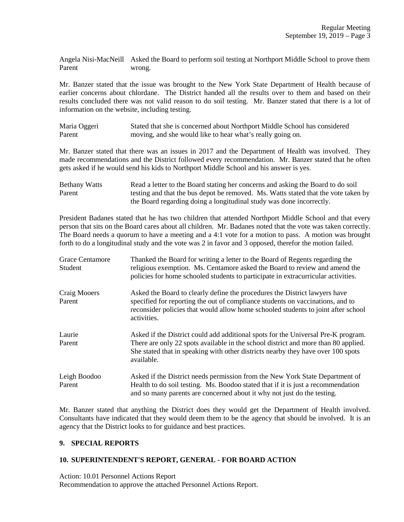Angela Nisi-MacNeill Asked the Board to perform soil testing at Northport Middle School to prove them Parent wrong.

Mr. Banzer stated that the issue was brought to the New York State Department of Health because of earlier concerns about chlordane. The District handed all the results over to them and based on their results concluded there was not valid reason to do soil testing. Mr. Banzer stated that there is a lot of information on the website, including testing.

| Maria Oggeri | Stated that she is concerned about Northport Middle School has considered |
|--------------|---------------------------------------------------------------------------|
| Parent       | moving, and she would like to hear what's really going on.                |

Mr. Banzer stated that there was an issues in 2017 and the Department of Health was involved. They made recommendations and the District followed every recommendation. Mr. Banzer stated that he often gets asked if he would send his kids to Northport Middle School and his answer is yes.

| <b>Bethany Watts</b> | Read a letter to the Board stating her concerns and asking the Board to do soil    |
|----------------------|------------------------------------------------------------------------------------|
| Parent               | testing and that the bus depot be removed. Ms. Watts stated that the vote taken by |
|                      | the Board regarding doing a longitudinal study was done incorrectly.               |

President Badanes stated that he has two children that attended Northport Middle School and that every person that sits on the Board cares about all children. Mr. Badanes noted that the vote was taken correctly. The Board needs a quorum to have a meeting and a 4:1 vote for a motion to pass. A motion was brought forth to do a longitudinal study and the vote was 2 in favor and 3 opposed, therefor the motion failed.

| <b>Grace Centamore</b><br>Student | Thanked the Board for writing a letter to the Board of Regents regarding the<br>religious exemption. Ms. Centamore asked the Board to review and amend the<br>policies for home schooled students to participate in extracurricular activities.                           |
|-----------------------------------|---------------------------------------------------------------------------------------------------------------------------------------------------------------------------------------------------------------------------------------------------------------------------|
| Craig Mooers<br>Parent            | Asked the Board to clearly define the procedures the District lawyers have<br>specified for reporting the out of compliance students on vaccinations, and to<br>reconsider policies that would allow home schooled students to joint after school<br>activities.          |
| Laurie<br>Parent                  | Asked if the District could add additional spots for the Universal Pre-K program.<br>There are only 22 spots available in the school district and more than 80 applied.<br>She stated that in speaking with other districts nearby they have over 100 spots<br>available. |
| Leigh Boodoo<br>Parent            | Asked if the District needs permission from the New York State Department of<br>Health to do soil testing. Ms. Boodoo stated that if it is just a recommendation<br>and so many parents are concerned about it why not just do the testing.                               |

Mr. Banzer stated that anything the District does they would get the Department of Health involved. Consultants have indicated that they would deem them to be the agency that should be involved. It is an agency that the District looks to for guidance and best practices.

## **9. SPECIAL REPORTS**

## **10. SUPERINTENDENT'S REPORT, GENERAL - FOR BOARD ACTION**

Action: 10.01 Personnel Actions Report Recommendation to approve the attached Personnel Actions Report.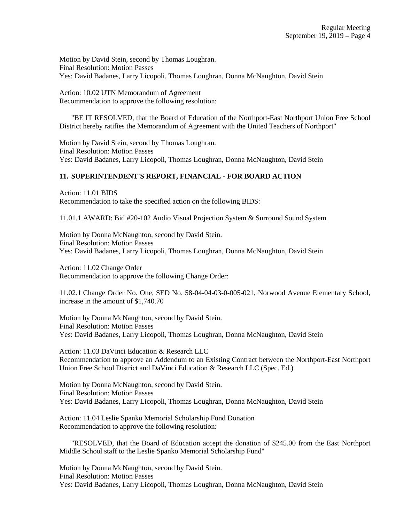Motion by David Stein, second by Thomas Loughran. Final Resolution: Motion Passes Yes: David Badanes, Larry Licopoli, Thomas Loughran, Donna McNaughton, David Stein

Action: 10.02 UTN Memorandum of Agreement Recommendation to approve the following resolution:

 "BE IT RESOLVED, that the Board of Education of the Northport-East Northport Union Free School District hereby ratifies the Memorandum of Agreement with the United Teachers of Northport"

Motion by David Stein, second by Thomas Loughran. Final Resolution: Motion Passes Yes: David Badanes, Larry Licopoli, Thomas Loughran, Donna McNaughton, David Stein

## **11. SUPERINTENDENT'S REPORT, FINANCIAL - FOR BOARD ACTION**

Action: 11.01 BIDS Recommendation to take the specified action on the following BIDS:

11.01.1 AWARD: Bid #20-102 Audio Visual Projection System & Surround Sound System

Motion by Donna McNaughton, second by David Stein. Final Resolution: Motion Passes Yes: David Badanes, Larry Licopoli, Thomas Loughran, Donna McNaughton, David Stein

Action: 11.02 Change Order Recommendation to approve the following Change Order:

11.02.1 Change Order No. One, SED No. 58-04-04-03-0-005-021, Norwood Avenue Elementary School, increase in the amount of \$1,740.70

Motion by Donna McNaughton, second by David Stein. Final Resolution: Motion Passes Yes: David Badanes, Larry Licopoli, Thomas Loughran, Donna McNaughton, David Stein

Action: 11.03 DaVinci Education & Research LLC Recommendation to approve an Addendum to an Existing Contract between the Northport-East Northport Union Free School District and DaVinci Education & Research LLC (Spec. Ed.)

Motion by Donna McNaughton, second by David Stein. Final Resolution: Motion Passes Yes: David Badanes, Larry Licopoli, Thomas Loughran, Donna McNaughton, David Stein

Action: 11.04 Leslie Spanko Memorial Scholarship Fund Donation Recommendation to approve the following resolution:

 "RESOLVED, that the Board of Education accept the donation of \$245.00 from the East Northport Middle School staff to the Leslie Spanko Memorial Scholarship Fund"

Motion by Donna McNaughton, second by David Stein. Final Resolution: Motion Passes Yes: David Badanes, Larry Licopoli, Thomas Loughran, Donna McNaughton, David Stein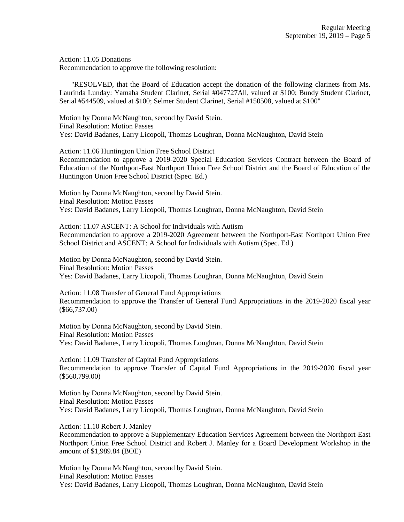Action: 11.05 Donations Recommendation to approve the following resolution:

 "RESOLVED, that the Board of Education accept the donation of the following clarinets from Ms. Laurinda Lunday: Yamaha Student Clarinet, Serial #047727All, valued at \$100; Bundy Student Clarinet, Serial #544509, valued at \$100; Selmer Student Clarinet, Serial #150508, valued at \$100"

Motion by Donna McNaughton, second by David Stein. Final Resolution: Motion Passes Yes: David Badanes, Larry Licopoli, Thomas Loughran, Donna McNaughton, David Stein

Action: 11.06 Huntington Union Free School District

Recommendation to approve a 2019-2020 Special Education Services Contract between the Board of Education of the Northport-East Northport Union Free School District and the Board of Education of the Huntington Union Free School District (Spec. Ed.)

Motion by Donna McNaughton, second by David Stein. Final Resolution: Motion Passes Yes: David Badanes, Larry Licopoli, Thomas Loughran, Donna McNaughton, David Stein

Action: 11.07 ASCENT: A School for Individuals with Autism Recommendation to approve a 2019-2020 Agreement between the Northport-East Northport Union Free School District and ASCENT: A School for Individuals with Autism (Spec. Ed.)

Motion by Donna McNaughton, second by David Stein. Final Resolution: Motion Passes Yes: David Badanes, Larry Licopoli, Thomas Loughran, Donna McNaughton, David Stein

Action: 11.08 Transfer of General Fund Appropriations Recommendation to approve the Transfer of General Fund Appropriations in the 2019-2020 fiscal year (\$66,737.00)

Motion by Donna McNaughton, second by David Stein. Final Resolution: Motion Passes Yes: David Badanes, Larry Licopoli, Thomas Loughran, Donna McNaughton, David Stein

Action: 11.09 Transfer of Capital Fund Appropriations Recommendation to approve Transfer of Capital Fund Appropriations in the 2019-2020 fiscal year (\$560,799.00)

Motion by Donna McNaughton, second by David Stein. Final Resolution: Motion Passes Yes: David Badanes, Larry Licopoli, Thomas Loughran, Donna McNaughton, David Stein

Action: 11.10 Robert J. Manley

Recommendation to approve a Supplementary Education Services Agreement between the Northport-East Northport Union Free School District and Robert J. Manley for a Board Development Workshop in the amount of \$1,989.84 (BOE)

Motion by Donna McNaughton, second by David Stein. Final Resolution: Motion Passes Yes: David Badanes, Larry Licopoli, Thomas Loughran, Donna McNaughton, David Stein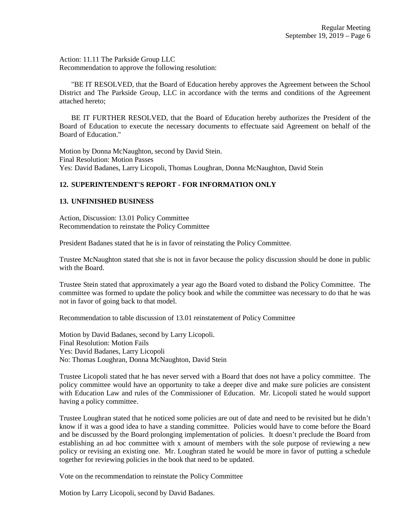Action: 11.11 The Parkside Group LLC Recommendation to approve the following resolution:

 "BE IT RESOLVED, that the Board of Education hereby approves the Agreement between the School District and The Parkside Group, LLC in accordance with the terms and conditions of the Agreement attached hereto;

 BE IT FURTHER RESOLVED, that the Board of Education hereby authorizes the President of the Board of Education to execute the necessary documents to effectuate said Agreement on behalf of the Board of Education."

Motion by Donna McNaughton, second by David Stein. Final Resolution: Motion Passes Yes: David Badanes, Larry Licopoli, Thomas Loughran, Donna McNaughton, David Stein

## **12. SUPERINTENDENT'S REPORT - FOR INFORMATION ONLY**

## **13. UNFINISHED BUSINESS**

Action, Discussion: 13.01 Policy Committee Recommendation to reinstate the Policy Committee

President Badanes stated that he is in favor of reinstating the Policy Committee.

Trustee McNaughton stated that she is not in favor because the policy discussion should be done in public with the Board.

Trustee Stein stated that approximately a year ago the Board voted to disband the Policy Committee. The committee was formed to update the policy book and while the committee was necessary to do that he was not in favor of going back to that model.

Recommendation to table discussion of 13.01 reinstatement of Policy Committee

Motion by David Badanes, second by Larry Licopoli. Final Resolution: Motion Fails Yes: David Badanes, Larry Licopoli No: Thomas Loughran, Donna McNaughton, David Stein

Trustee Licopoli stated that he has never served with a Board that does not have a policy committee. The policy committee would have an opportunity to take a deeper dive and make sure policies are consistent with Education Law and rules of the Commissioner of Education. Mr. Licopoli stated he would support having a policy committee.

Trustee Loughran stated that he noticed some policies are out of date and need to be revisited but he didn't know if it was a good idea to have a standing committee. Policies would have to come before the Board and be discussed by the Board prolonging implementation of policies. It doesn't preclude the Board from establishing an ad hoc committee with x amount of members with the sole purpose of reviewing a new policy or revising an existing one. Mr. Loughran stated he would be more in favor of putting a schedule together for reviewing policies in the book that need to be updated.

Vote on the recommendation to reinstate the Policy Committee

Motion by Larry Licopoli, second by David Badanes.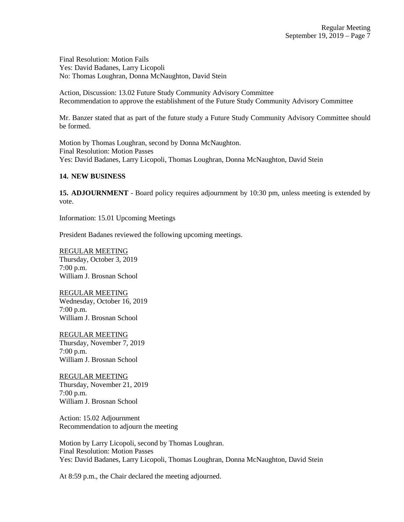Final Resolution: Motion Fails Yes: David Badanes, Larry Licopoli No: Thomas Loughran, Donna McNaughton, David Stein

Action, Discussion: 13.02 Future Study Community Advisory Committee Recommendation to approve the establishment of the Future Study Community Advisory Committee

Mr. Banzer stated that as part of the future study a Future Study Community Advisory Committee should be formed.

Motion by Thomas Loughran, second by Donna McNaughton. Final Resolution: Motion Passes Yes: David Badanes, Larry Licopoli, Thomas Loughran, Donna McNaughton, David Stein

## **14. NEW BUSINESS**

**15. ADJOURNMENT** - Board policy requires adjournment by 10:30 pm, unless meeting is extended by vote.

Information: 15.01 Upcoming Meetings

President Badanes reviewed the following upcoming meetings.

REGULAR MEETING Thursday, October 3, 2019 7:00 p.m. William J. Brosnan School

REGULAR MEETING Wednesday, October 16, 2019 7:00 p.m. William J. Brosnan School

REGULAR MEETING Thursday, November 7, 2019 7:00 p.m. William J. Brosnan School

REGULAR MEETING Thursday, November 21, 2019 7:00 p.m. William J. Brosnan School

Action: 15.02 Adjournment Recommendation to adjourn the meeting

Motion by Larry Licopoli, second by Thomas Loughran. Final Resolution: Motion Passes Yes: David Badanes, Larry Licopoli, Thomas Loughran, Donna McNaughton, David Stein

At 8:59 p.m., the Chair declared the meeting adjourned.